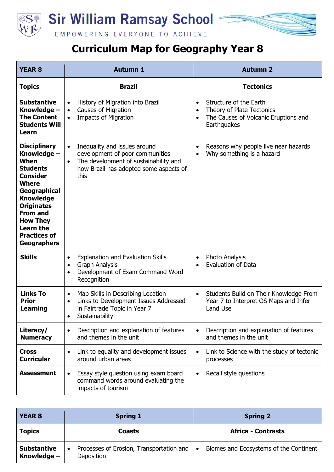



## **Curriculum Map for Geography Year 8**

| <b>YEAR 8</b>                                                                                                                                                                                                                                                    | <b>Autumn 1</b>                                                                                                                                                                      | <b>Autumn 2</b>                                                                                                                                   |
|------------------------------------------------------------------------------------------------------------------------------------------------------------------------------------------------------------------------------------------------------------------|--------------------------------------------------------------------------------------------------------------------------------------------------------------------------------------|---------------------------------------------------------------------------------------------------------------------------------------------------|
| Topics                                                                                                                                                                                                                                                           | <b>Brazil</b>                                                                                                                                                                        | <b>Tectonics</b>                                                                                                                                  |
| <b>Substantive</b><br>Knowledge -<br><b>The Content</b><br><b>Students Will</b><br>Learn                                                                                                                                                                         | History of Migration into Brazil<br>$\bullet$<br><b>Causes of Migration</b><br>$\bullet$<br><b>Impacts of Migration</b><br>$\bullet$                                                 | Structure of the Earth<br>$\bullet$<br>Theory of Plate Tectonics<br>$\bullet$<br>The Causes of Volcanic Eruptions and<br>$\bullet$<br>Earthquakes |
| <b>Disciplinary</b><br>Knowledge -<br>When<br><b>Students</b><br><b>Consider</b><br><b>Where</b><br>Geographical<br><b>Knowledge</b><br><b>Originates</b><br><b>From and</b><br><b>How They</b><br><b>Learn the</b><br><b>Practices of</b><br><b>Geographers</b> | Inequality and issues around<br>$\bullet$<br>development of poor communities<br>The development of sustainability and<br>$\bullet$<br>how Brazil has adopted some aspects of<br>this | Reasons why people live near hazards<br>$\bullet$<br>Why something is a hazard<br>$\bullet$                                                       |
| <b>Skills</b>                                                                                                                                                                                                                                                    | <b>Explanation and Evaluation Skills</b><br>$\bullet$<br><b>Graph Analysis</b><br>$\bullet$<br>Development of Exam Command Word<br>$\bullet$<br>Recognition                          | <b>Photo Analysis</b><br>$\bullet$<br><b>Evaluation of Data</b><br>$\bullet$                                                                      |
| <b>Links To</b><br><b>Prior</b><br><b>Learning</b>                                                                                                                                                                                                               | Map Skills in Describing Location<br>$\bullet$<br>Links to Development Issues Addressed<br>$\bullet$<br>in Fairtrade Topic in Year 7<br>Sustainability<br>$\bullet$                  | Students Build on Their Knowledge From<br>$\bullet$<br>Year 7 to Interpret OS Maps and Infer<br>Land Use                                          |
| Literacy/<br><b>Numeracy</b>                                                                                                                                                                                                                                     | Description and explanation of features<br>$\bullet$<br>and themes in the unit                                                                                                       | Description and explanation of features<br>$\bullet$<br>and themes in the unit                                                                    |
| <b>Cross</b><br><b>Curricular</b>                                                                                                                                                                                                                                | Link to equality and development issues<br>$\bullet$<br>around urban areas                                                                                                           | Link to Science with the study of tectonic<br>$\bullet$<br>processes                                                                              |
| Assessment                                                                                                                                                                                                                                                       | Essay style question using exam board<br>command words around evaluating the<br>impacts of tourism                                                                                   | Recall style questions                                                                                                                            |

| <b>YEAR 8</b>                       | <b>Spring 1</b>                                        | <b>Spring 2</b>                                     |
|-------------------------------------|--------------------------------------------------------|-----------------------------------------------------|
| <b>Topics</b>                       | <b>Coasts</b>                                          | <b>Africa - Contrasts</b>                           |
| <b>Substantive</b><br>Knowledge $-$ | Processes of Erosion, Transportation and<br>Deposition | Biomes and Ecosystems of the Continent<br>$\bullet$ |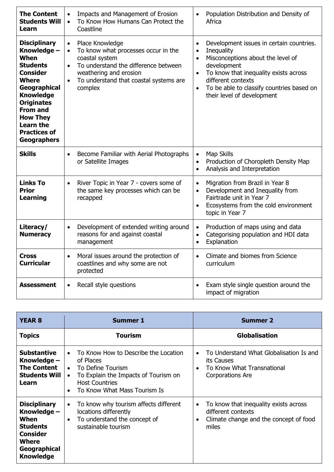| <b>The Content</b><br><b>Students Will</b><br>Learn                                                                                                                                                                                                              | Impacts and Management of Erosion<br>$\bullet$<br>To Know How Humans Can Protect the<br>$\bullet$<br>Coastline                                                                                                                                      | Population Distribution and Density of<br>$\bullet$<br>Africa                                                                                                                                                                                                                                                         |
|------------------------------------------------------------------------------------------------------------------------------------------------------------------------------------------------------------------------------------------------------------------|-----------------------------------------------------------------------------------------------------------------------------------------------------------------------------------------------------------------------------------------------------|-----------------------------------------------------------------------------------------------------------------------------------------------------------------------------------------------------------------------------------------------------------------------------------------------------------------------|
| <b>Disciplinary</b><br>Knowledge -<br>When<br><b>Students</b><br><b>Consider</b><br><b>Where</b><br>Geographical<br><b>Knowledge</b><br><b>Originates</b><br><b>From and</b><br><b>How They</b><br><b>Learn the</b><br><b>Practices of</b><br><b>Geographers</b> | Place Knowledge<br>$\bullet$<br>To know what processes occur in the<br>$\bullet$<br>coastal system<br>To understand the difference between<br>$\bullet$<br>weathering and erosion<br>To understand that coastal systems are<br>$\bullet$<br>complex | Development issues in certain countries.<br>$\bullet$<br>Inequality<br>$\bullet$<br>Misconceptions about the level of<br>$\bullet$<br>development<br>To know that inequality exists across<br>$\bullet$<br>different contexts<br>To be able to classify countries based on<br>$\bullet$<br>their level of development |
| <b>Skills</b>                                                                                                                                                                                                                                                    | Become Familiar with Aerial Photographs<br>$\bullet$<br>or Satellite Images                                                                                                                                                                         | Map Skills<br>$\bullet$<br>Production of Choropleth Density Map<br>$\bullet$<br>Analysis and Interpretation<br>$\bullet$                                                                                                                                                                                              |
| <b>Links To</b><br><b>Prior</b><br><b>Learning</b>                                                                                                                                                                                                               | River Topic in Year 7 - covers some of<br>$\bullet$<br>the same key processes which can be<br>recapped                                                                                                                                              | Migration from Brazil in Year 8<br>$\bullet$<br>Development and Inequality from<br>$\bullet$<br>Fairtrade unit in Year 7<br>Ecosystems from the cold environment<br>$\bullet$<br>topic in Year 7                                                                                                                      |
| Literacy/<br><b>Numeracy</b>                                                                                                                                                                                                                                     | Development of extended writing around<br>$\bullet$<br>reasons for and against coastal<br>management                                                                                                                                                | Production of maps using and data<br>$\bullet$<br>Categorising population and HDI data<br>$\bullet$<br>Explanation<br>$\bullet$                                                                                                                                                                                       |
| <b>Cross</b><br><b>Curricular</b>                                                                                                                                                                                                                                | Moral issues around the protection of<br>$\bullet$<br>coastlines and why some are not<br>protected                                                                                                                                                  | Climate and biomes from Science<br>$\bullet$<br>curriculum                                                                                                                                                                                                                                                            |
| <b>Assessment</b>                                                                                                                                                                                                                                                | Recall style questions<br>$\bullet$                                                                                                                                                                                                                 | Exam style single question around the<br>$\bullet$<br>impact of migration                                                                                                                                                                                                                                             |

| <b>YEAR 8</b>                                                                                                                 | <b>Summer 1</b>                                                                                                                                                                                   | <b>Summer 2</b>                                                                                                                          |
|-------------------------------------------------------------------------------------------------------------------------------|---------------------------------------------------------------------------------------------------------------------------------------------------------------------------------------------------|------------------------------------------------------------------------------------------------------------------------------------------|
| <b>Topics</b>                                                                                                                 | Tourism                                                                                                                                                                                           | <b>Globalisation</b>                                                                                                                     |
| <b>Substantive</b><br>Knowledge -<br><b>The Content</b><br><b>Students Will</b><br>Learn                                      | To Know How to Describe the Location<br>of Places<br>To Define Tourism<br>$\bullet$<br>To Explain the Impacts of Tourism on<br>$\bullet$<br><b>Host Countries</b><br>To Know What Mass Tourism Is | To Understand What Globalisation Is and<br>its Causes<br>To Know What Transnational<br>$\bullet$<br>Corporations Are                     |
| <b>Disciplinary</b><br>Knowledge -<br>When<br><b>Students</b><br><b>Consider</b><br>Where<br>Geographical<br><b>Knowledge</b> | To know why tourism affects different<br>$\bullet$<br>locations differently<br>To understand the concept of<br>$\bullet$<br>sustainable tourism                                                   | To know that inequality exists across<br>$\bullet$<br>different contexts<br>Climate change and the concept of food<br>$\bullet$<br>miles |